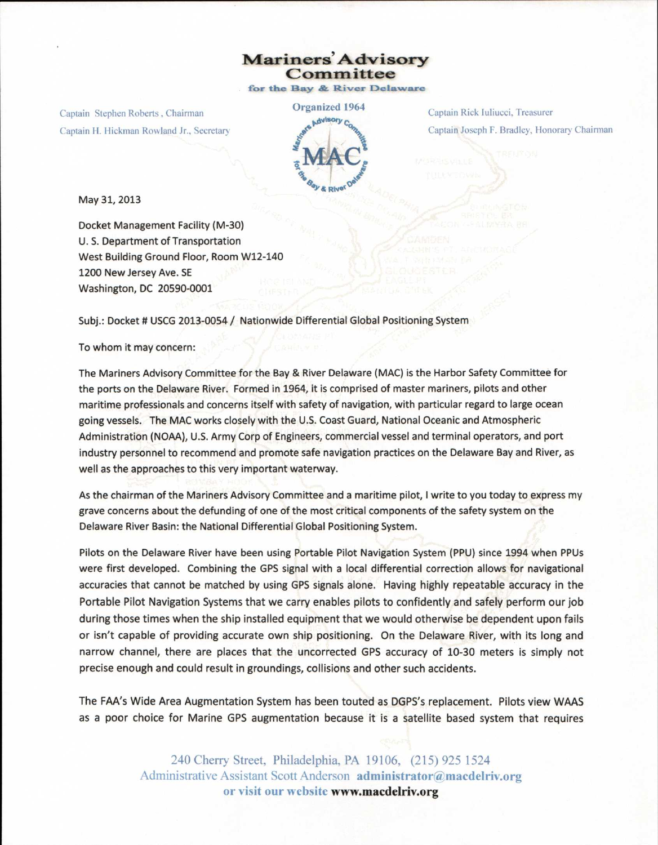## **Mariners' Advisory Committee**

for the **Bay & River Delaware** 

 $\mathbf{MAC}_{s}^*$ 

 $O_{60}$  .

Captain Stephen Roberts, Chairman Captain H. Hickman Rowland Jr., Secretary Organized 1964 **Advisory** 

(m)

—

Captain Rick Iuliucci, Treasurer Captain Joseph F. Bradley, Honorary Chairman

May 31, 2013

Docket Management Facility (M-30) U. S. Department of Transportation West Building Ground Floor, Room W12-140 1200 New Jersey Ave. SE Washington, DC 20590-0001

Subj.: Docket # USCG 2013-0054 / Nationwide Differential Global Positioning System

To whom it may concern:

The Mariners Advisory Committee for the Bay & River Delaware (MAC) is the Harbor Safety Committee for the ports on the Delaware River. Formed in 1964, it is comprised of master mariners, pilots and other maritime professionals and concerns itself with safety of navigation, with particular regard to large ocean going vessels. The MAC works closely with the U.S. Coast Guard, National Oceanic and Atmospheric Administration (NOAA), U.S. Army Corp of Engineers, commercial vessel and terminal operators, and port industry personnel to recommend and promote safe navigation practices on the Delaware Bay and River, as well as the approaches to this very important waterway.

As the chairman of the Mariners Advisory Committee and a maritime pilot, I write to you today to express my grave concerns about the defunding of one of the most critical components of the safety system on the Delaware River Basin: the National Differential Global Positioning System.

Pilots on the Delaware River have been using Portable Pilot Navigation System (PPU) since 1994 when PPUs were first developed. Combining the GPS signal with a local differential correction allows for navigational accuracies that cannot be matched by using GPS signals alone. Having highly repeatable accuracy in the Portable Pilot Navigation Systems that we carry enables pilots to confidently and safely perform our job during those times when the ship installed equipment that we would otherwise be dependent upon fails or isn't capable of providing accurate own ship positioning. On the Delaware River, with its long and narrow channel, there are places that the uncorrected GPS accuracy of 10-30 meters is simply not precise enough and could result in groundings, collisions and other such accidents.

The FAA's Wide Area Augmentation System has been touted as DGPS's replacement. Pilots view WAAS as a poor choice for Marine GPS augmentation because it is a satellite based system that requires

> 240Cherry Street, Philadelphia, PA 19106, (215) 925 1524 Administrative Assistant Scott Anderson administrator@macdelriv.org or visit our website www.macdelriv.org